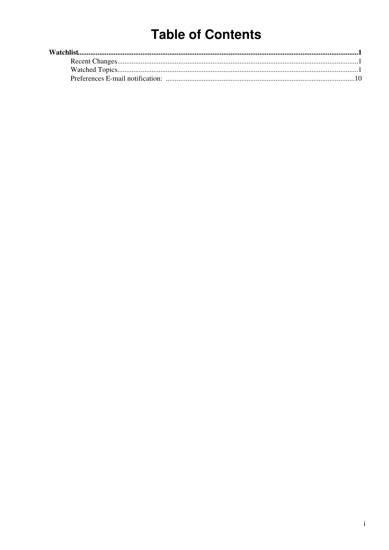# **Table of Contents**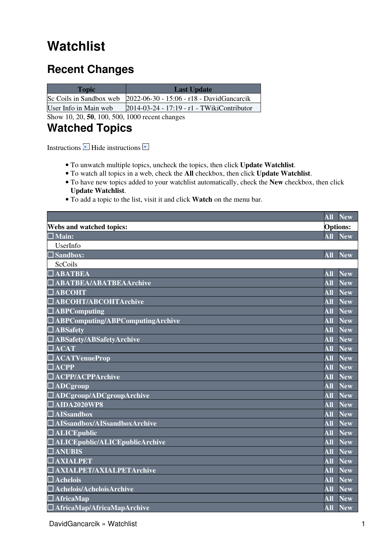## <span id="page-1-0"></span>**Watchlist**

### <span id="page-1-1"></span>**Recent Changes**

| <b>Topic</b>          | <b>Last Update</b>                                                                  |
|-----------------------|-------------------------------------------------------------------------------------|
|                       | $\text{Sc}$ Coils in Sandbox web $\text{2022-06-30 - 15:06 - r18 - DavidGancarcik}$ |
| User Info in Main web | 2014-03-24 - 17:19 - r1 - TWikiContributor                                          |

Show 10, 20, **50**, 100, 500, 1000 recent changes

### <span id="page-1-2"></span>**Watched Topics**

Instructions  $\blacksquare$  Hide instructions  $\blacksquare$ 

- To unwatch multiple topics, uncheck the topics, then click **Update Watchlist**.
- To watch all topics in a web, check the **All** checkbox, then click **Update Watchlist**.
- To have new topics added to your watchlist automatically, check the **New** checkbox, then click **Update Watchlist**.
- To add a topic to the list, visit it and click **Watch** on the menu bar.

|                                       | All                                | <b>New</b>              |
|---------------------------------------|------------------------------------|-------------------------|
| <b>Webs and watched topics:</b>       |                                    | <b>Options:</b>         |
| $\Box$ Main:                          | $\overline{\mathbf{All}}$          | <b>New</b>              |
| UserInfo                              |                                    |                         |
| $\Box$ Sandbox:                       | <b>All</b>                         | New                     |
| ScCoils                               |                                    |                         |
| <b>ABATBEA</b>                        | <b>All</b>                         | <b>New</b>              |
| $\Box$ ABATBEA/ABATBEAArchive         | All                                | <b>New</b>              |
| <b>ABCOHT</b>                         | $\overline{\mathbf{A}\mathbf{II}}$ | <b>New</b>              |
| <b>ABCOHT/ABCOHTArchive</b>           | <b>All</b>                         | <b>New</b>              |
| $\Box$ ABPComputing                   | All                                | <b>New</b>              |
| ABPComputing/ABPComputingArchive      | <b>All</b>                         | <b>New</b>              |
| $\Box$ ABSafety                       | $\overline{\mathbf{All}}$          | <b>New</b>              |
| $\Box$ ABSafety/ABSafetyArchive       | All                                | $\overline{\text{New}}$ |
| <b>ACAT</b>                           | <b>All</b>                         | <b>New</b>              |
| <b>ACATVenueProp</b>                  | <b>All</b>                         | <b>New</b>              |
| $\Box$ ACPP                           | All                                | <b>New</b>              |
| <b>ACPP/ACPPArchive</b>               | <b>All</b>                         | <b>New</b>              |
| $\Box$ ADCgroup                       | $\overline{All}$                   | <b>New</b>              |
| $\Box$ ADCgroup/ADCgroupArchive       | All                                | New                     |
| $\Box$ AIDA2020WP8                    | <b>All</b>                         | <b>New</b>              |
| $\Box$ AISsandbox                     | $\overline{\bf All}$               | <b>New</b>              |
| AISsandbox/AISsandboxArchive          | All                                | <b>New</b>              |
| $\Box$ ALICEpublic                    | <b>All</b>                         | <b>New</b>              |
| <b>ALICEpublic/ALICEpublicArchive</b> | <b>All</b>                         | <b>New</b>              |
| <b>TANUBIS</b>                        | <b>All</b>                         | <b>New</b>              |
| <b>AXIALPET</b>                       | <b>All</b>                         | <b>New</b>              |
| <b>AXIALPET/AXIALPETArchive</b>       | <b>All</b>                         | <b>New</b>              |
| $\square$ Achelois                    | <b>All</b>                         | <b>New</b>              |
| Achelois/AcheloisArchive              | <b>All</b>                         | <b>New</b>              |
| $\sqrt{\text{AfricaMap}}$             | <b>All</b>                         | <b>New</b>              |
| $\Box$ AfricaMap/AfricaMapArchive     | <b>All</b>                         | New                     |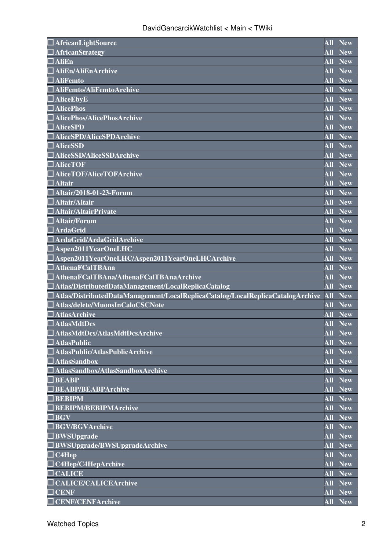| $\Box$ AfricanLightSource                                                                | All                     | <b>New</b>            |
|------------------------------------------------------------------------------------------|-------------------------|-----------------------|
| $\Box$ AfricanStrategy                                                                   | <b>All</b>              | <b>New</b>            |
| $\Box$ AliEn                                                                             | All                     | <b>New</b>            |
| $\Box$ AliEn/AliEnArchive                                                                | All                     | <b>New</b>            |
| $\Box$ AliFemto                                                                          | <b>All</b>              | <b>New</b>            |
| $\Box$ AliFemto/AliFemtoArchive                                                          | All                     | <b>New</b>            |
| $\Box$ AliceEbyE                                                                         | All                     | <b>New</b>            |
| $\Box$ AlicePhos                                                                         | All                     | <b>New</b>            |
| <b>AlicePhos/AlicePhosArchive</b>                                                        | All                     | <b>New</b>            |
| $\Box$ AliceSPD                                                                          | <b>All</b>              | <b>New</b>            |
| $\Box$ AliceSPD/AliceSPDArchive                                                          | All                     | <b>New</b>            |
| $\Box$ AliceSSD                                                                          | All                     | <b>New</b>            |
| AliceSSD/AliceSSDArchive                                                                 | All                     | <b>New</b>            |
| $\Box$ AliceTOF                                                                          | $\overline{\bf All}$    | <b>New</b>            |
| <b>AliceTOF/AliceTOFArchive</b>                                                          | <b>All</b>              | <b>New</b>            |
| $\Box$ Altair                                                                            | <b>All</b>              | <b>New</b>            |
| $\Box$ Altair/2018-01-23-Forum                                                           | <b>All</b>              | <b>New</b>            |
| $\Box$ Altair/Altair                                                                     | <b>All</b>              | <b>New</b>            |
| $\Box$ Altair/AltairPrivate                                                              | <b>All</b>              | <b>New</b>            |
| $\Box$ Altair/Forum                                                                      | <b>All</b>              | <b>New</b>            |
| $\Box$ ArdaGrid                                                                          | <b>All</b>              | <b>New</b>            |
| $\Box$ ArdaGrid/ArdaGridArchive                                                          | <b>All</b>              | <b>New</b>            |
| $\Box$ Aspen2011YearOneLHC                                                               | <b>All</b>              | <b>New</b>            |
| $\Box$ Aspen2011YearOneLHC/Aspen2011YearOneLHCArchive                                    | <b>All</b>              | <b>New</b>            |
| $\Box$ AthenaFCalTBAna                                                                   | <b>All</b>              | <b>New</b>            |
| $\Box$ AthenaFCalTBAna/AthenaFCalTBAnaArchive                                            | <b>All</b>              | <b>New</b>            |
| $\Box$ Atlas/DistributedDataManagement/LocalReplicaCatalog                               | <b>All</b>              | <b>New</b>            |
| $\square$ Atlas/DistributedDataManagement/LocalReplicaCatalog/LocalReplicaCatalogArchive | All                     | <b>New</b>            |
| $\Box$ Atlas/delete/MuonsInCaloCSCNote                                                   | <b>All</b>              | <b>New</b>            |
| $\Box$ AtlasArchive                                                                      | <b>All</b>              | <b>New</b>            |
| $\Box$ AtlasMdtDcs                                                                       | <b>All</b>              |                       |
| AtlasMdtDcs/AtlasMdtDcsArchive                                                           |                         | <b>New</b><br>All New |
|                                                                                          | <b>All</b>              |                       |
| $\Box$ AtlasPublic                                                                       |                         | <b>New</b>            |
| AtlasPublic/AtlasPublicArchive                                                           | <b>All</b>              | <b>New</b>            |
| $\Box$ AtlasSandbox                                                                      | <b>All</b>              | <b>New</b>            |
| $\Box$ AtlasSandbox/AtlasSandboxArchive                                                  | <b>All</b>              | <b>New</b>            |
| $\Box$ BEABP                                                                             | <b>All</b>              | <b>New</b>            |
| BEABP/BEABPArchive                                                                       | <b>All</b>              | <b>New</b>            |
| $\Box$ BEBIPM                                                                            | <b>All</b>              | <b>New</b>            |
| $\Box$ BEBIPM/BEBIPMArchive                                                              | <b>All</b>              | <b>New</b>            |
| $\Box$ BGV                                                                               | <b>All</b>              | <b>New</b>            |
| $\Box$ BGV/BGVArchive                                                                    | <b>All</b>              | <b>New</b>            |
| $\Box$ BWSUpgrade                                                                        | <b>All</b>              | <b>New</b>            |
| $\Box$ BWSUpgrade/BWSUpgradeArchive                                                      | All                     | <b>New</b>            |
| $\Box$ C4Hep                                                                             | $\overline{\text{All}}$ | <b>New</b>            |
| $\Box$ C4Hep/C4HepArchive                                                                | <b>All</b>              | <b>New</b>            |
| $\Box$ CALICE                                                                            | <b>All</b>              | <b>New</b>            |
| <b>CALICE/CALICEArchive</b>                                                              | <b>All</b>              | <b>New</b>            |
| $\Box$ CENF                                                                              | <b>All</b>              | <b>New</b>            |
|                                                                                          |                         |                       |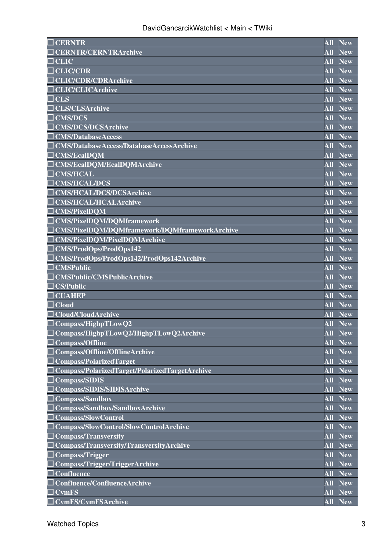| $\overline{\square}$ CERNTR                           | All                       | <b>New</b>     |
|-------------------------------------------------------|---------------------------|----------------|
| <b>CERNTR/CERNTRArchive</b>                           | <b>All</b>                | <b>New</b>     |
| $\sqcup$ CLIC                                         | All                       | <b>New</b>     |
| $\Box$ CLIC/CDR                                       | <b>All</b>                | <b>New</b>     |
| <b>CLIC/CDR/CDRArchive</b>                            | All                       | <b>New</b>     |
| $\Box$ CLIC/CLICArchive                               | $\overline{\bf All}$      | <b>New</b>     |
| $\Box$ CLS                                            | <b>All</b>                | <b>New</b>     |
| $\Box$ CLS/CLSArchive                                 | All                       | <b>New</b>     |
| $\Box$ CMS/DCS                                        | All                       | <b>New</b>     |
| $\Box$ CMS/DCS/DCSArchive                             | All                       | <b>New</b>     |
| $\Box$ CMS/DatabaseAccess                             | All                       | <b>New</b>     |
| $\Box$ CMS/DatabaseAccess/DatabaseAccessArchive       | <b>All</b>                | <b>New</b>     |
| $\Box$ CMS/EcalDQM                                    | <b>All</b>                | <b>New</b>     |
| □ CMS/EcalDQM/EcalDQMArchive                          | $\overline{\mathbf{All}}$ | <b>New</b>     |
| $\Box$ CMS/HCAL                                       | All                       | <b>New</b>     |
| $\Box$ CMS/HCAL/DCS                                   | <b>All</b>                | <b>New</b>     |
| <b>CMS/HCAL/DCS/DCSArchive</b>                        | <b>All</b>                | <b>New</b>     |
| <b>CMS/HCAL/HCALArchive</b>                           | <b>All</b>                | <b>New</b>     |
| $\Box$ CMS/PixelDQM                                   | <b>All</b>                | <b>New</b>     |
| $\Box$ CMS/PixelDQM/DQMframework                      | <b>All</b>                | <b>New</b>     |
| $\Box$ CMS/PixelDQM/DQMframework/DQMframeworkArchive  | <b>All</b>                | <b>New</b>     |
| $\Box$ CMS/PixelDQM/PixelDQMArchive                   | <b>All</b>                | <b>New</b>     |
| $\overline{\Box$ CMS/ProdOps/ProdOps142               | All                       | <b>New</b>     |
| $\Box$ CMS/ProdOps/ProdOps142/ProdOps142Archive       | <b>All</b>                | <b>New</b>     |
| $\Box$ CMSPublic                                      | <b>All</b>                | <b>New</b>     |
| CMSPublic/CMSPublicArchive                            | <b>All</b>                | <b>New</b>     |
| <b>CS/Public</b>                                      | <b>All</b>                | <b>New</b>     |
| $\Box$ CUAHEP                                         | All                       | <b>New</b>     |
| $\Box$ Cloud                                          | <b>All</b>                | <b>New</b>     |
| $\Box$ Cloud/CloudArchive                             | <b>All</b>                | <b>New</b>     |
| $\Box$ Compass/HighpTLowQ2                            | <b>All</b>                | <b>New</b>     |
| $\Box$ Compass/HighpTLowQ2/HighpTLowQ2Archive         |                           | <b>All New</b> |
| $\Box$ Compass/Offline                                | <b>All</b>                | <b>New</b>     |
| $\Box$ Compass/Offline/OfflineArchive                 | <b>All</b>                | <b>New</b>     |
| $\Box$ Compass/PolarizedTarget                        | <b>All</b>                | <b>New</b>     |
| $\Box$ Compass/PolarizedTarget/PolarizedTargetArchive | All                       | <b>New</b>     |
| $\Box$ Compass/SIDIS                                  | $\overline{\text{All}}$   | New            |
| Compass/SIDIS/SIDISArchive                            | <b>All</b>                | <b>New</b>     |
| $\Box$ Compass/Sandbox                                | <b>All</b>                | <b>New</b>     |
| $\Box$ Compass/Sandbox/SandboxArchive                 | <b>All</b>                | <b>New</b>     |
| Compass/SlowControl                                   | <b>All</b>                | <b>New</b>     |
| $\Box$ Compass/SlowControl/SlowControlArchive         | <b>All</b>                | <b>New</b>     |
| $\Box$ Compass/Transversity                           | <b>All</b>                | <b>New</b>     |
| $\Box$ Compass/Transversity/TransversityArchive       | <b>All</b>                | <b>New</b>     |
| $\Box$ Compass/Trigger                                | $\overline{\text{All}}$   | <b>New</b>     |
| $\Box$ Compass/Trigger/TriggerArchive                 | <b>All</b>                | <b>New</b>     |
| $\Box$ Confluence                                     | <b>All</b>                | <b>New</b>     |
| Confluence/ConfluenceArchive                          | <b>All</b>                | <b>New</b>     |
| $\exists$ CvmFS                                       | <b>All</b>                | <b>New</b>     |
| $\Box$ CvmFS/CvmFSArchive                             | <b>All</b>                | <b>New</b>     |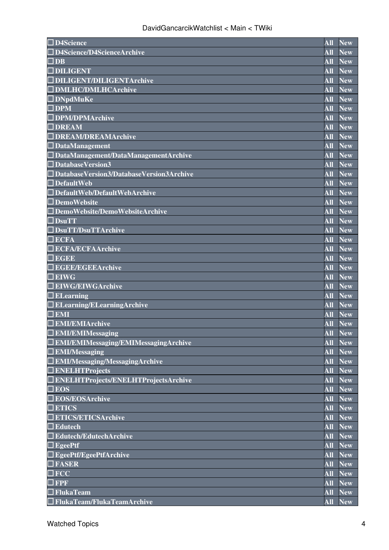| $\Box$ D4Science                                | <b>All</b>                         | <b>New</b>              |
|-------------------------------------------------|------------------------------------|-------------------------|
| $\Box$ D4Science/D4ScienceArchive               | All                                | <b>New</b>              |
| $\Box$ DB                                       | <b>All</b>                         | <b>New</b>              |
| $\Box$ DILIGENT                                 | <b>All</b>                         | <b>New</b>              |
| <b>IDILIGENT/DILIGENTArchive</b>                | All                                | <b>New</b>              |
| <b>DMLHC/DMLHCArchive</b>                       | $\overline{\mathbf{A}\mathbf{ll}}$ | <b>New</b>              |
| $\Box$ DNpdMuKe                                 | <b>All</b>                         | <b>New</b>              |
| $\Box$ DPM                                      | All                                | <b>New</b>              |
| □ DPM/DPMArchive                                | All                                | <b>New</b>              |
| $\Box$ DREAM                                    | All                                | <b>New</b>              |
| <b>JDREAM/DREAMArchive</b>                      | All                                | <b>New</b>              |
| $\Box$ DataManagement                           | <b>All</b>                         | <b>New</b>              |
| $\Box$ DataManagement/DataManagementArchive     | All                                | <b>New</b>              |
| $\Box$ DatabaseVersion3                         | All                                | <b>New</b>              |
| $\Box$ DatabaseVersion3/DatabaseVersion3Archive | All                                | <b>New</b>              |
| $\Box$ DefaultWeb                               | <b>All</b>                         | <b>New</b>              |
| $\Box$ DefaultWeb/DefaultWebArchive             | <b>All</b>                         | <b>New</b>              |
| $\Box$ DemoWebsite                              | <b>All</b>                         | <b>New</b>              |
| $\Box$ DemoWebsite/DemoWebsiteArchive           | <b>All</b>                         | <b>New</b>              |
| $\Box$ DsuTT                                    | All                                | <b>New</b>              |
| $\Box$ DsuTT/DsuTTArchive                       | <b>All</b>                         | <b>New</b>              |
| <b>ECFA</b>                                     | <b>All</b>                         | <b>New</b>              |
| <b>ECFA/ECFAArchive</b>                         | All                                | <b>New</b>              |
| $\blacksquare$ EGEE                             | <b>All</b>                         | <b>New</b>              |
| <b>IEGEE/EGEEArchive</b>                        | <b>All</b>                         | <b>New</b>              |
| $\Box$ EIWG                                     | <b>All</b>                         | <b>New</b>              |
| $\Box$ EIWG/EIWGArchive                         | <b>All</b>                         | <b>New</b>              |
| $\Box$ ELearning                                | All                                | <b>New</b>              |
| <b>ELearning/ELearningArchive</b>               | <b>All</b>                         | <b>New</b>              |
| $\Box$ EMI                                      | <b>All</b>                         | <b>New</b>              |
| <b>EMI/EMIArchive</b>                           | <b>All</b>                         | <b>New</b>              |
| $\Box$ EMI/EMIMessaging                         | All                                | <b>New</b>              |
| <b>EMI/EMIMessaging/EMIMessagingArchive</b>     | <b>All</b>                         | <b>New</b>              |
| $\Box$ EMI/Messaging                            | <b>All</b>                         | <b>New</b>              |
| $\Box$ EMI/Messaging/MessagingArchive           | <b>All</b>                         | <b>New</b>              |
| $\Box$ ENELHTProjects                           | <b>All</b>                         | <b>New</b>              |
| $\Box$ ENELHTProjects/ENELHTProjectsArchive     | All                                | <b>New</b>              |
| $\Box$ EOS                                      | <b>All</b>                         | <b>New</b>              |
| <b>EOS/EOSArchive</b>                           | <b>All</b>                         | <b>New</b>              |
| <b>ETICS</b>                                    | <b>All</b>                         | <b>New</b>              |
| <b>ETICS/ETICSArchive</b>                       | <b>All</b>                         | <b>New</b>              |
| $\Box$ Edutech                                  | <b>All</b>                         | $\overline{\text{New}}$ |
| $\Box$ Edutech/EdutechArchive                   | <b>All</b>                         | <b>New</b>              |
| $\Box$ EgeePtf                                  | <b>All</b>                         | <b>New</b>              |
| EgeePtf/EgeePtfArchive                          | <b>All</b>                         | <b>New</b>              |
| $\Box$ FASER                                    | <b>All</b>                         | <b>New</b>              |
| $\Box$ $\rm{FCC}$                               | $\overline{\mathbf{A}\mathbf{ll}}$ | $\overline{\text{New}}$ |
| $\blacksquare$ FPF                              | <b>All</b>                         | <b>New</b>              |
| FlukaTeam                                       | <b>All</b>                         | <b>New</b>              |
| $\Box$ FlukaTeam/FlukaTeamArchive               | <b>All</b>                         | <b>New</b>              |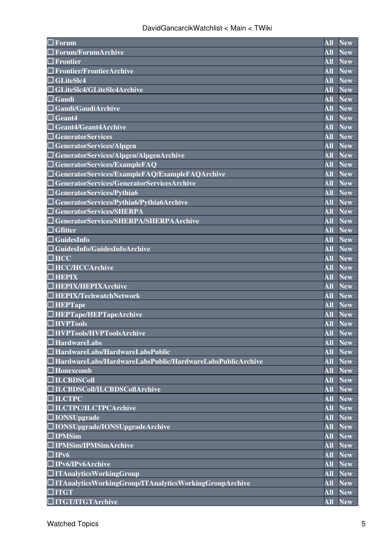| Forum                                                            | <b>All</b>              | <b>New</b>     |
|------------------------------------------------------------------|-------------------------|----------------|
| $\Box$ Forum/ForumArchive                                        | <b>All</b>              | <b>New</b>     |
| <b>] Frontier</b>                                                | All                     | <b>New</b>     |
| <b>Frontier/FrontierArchive</b>                                  | All                     | <b>New</b>     |
| $\Box$ GLiteSlc4                                                 | All                     | <b>New</b>     |
| GLiteSlc4/GLiteSlc4Archive                                       | <b>All</b>              | <b>New</b>     |
| $\Box$ Gaudi                                                     | <b>All</b>              | <b>New</b>     |
| Gaudi/GaudiArchive                                               | All                     | <b>New</b>     |
| Geant4                                                           | All                     | <b>New</b>     |
| Geant4/Geant4Archive                                             | All                     | <b>New</b>     |
| <b>GeneratorServices</b>                                         | All                     | <b>New</b>     |
| GeneratorServices/Alpgen                                         | <b>All</b>              | <b>New</b>     |
| GeneratorServices/Alpgen/AlpgenArchive                           | All                     | <b>New</b>     |
| GeneratorServices/ExampleFAQ                                     | All                     | <b>New</b>     |
| GeneratorServices/ExampleFAQ/ExampleFAQArchive                   | All                     | <b>New</b>     |
| $\sf J$ GeneratorServices/GeneratorServicesArchive               | <b>All</b>              | <b>New</b>     |
| GeneratorServices/Pythia6                                        | <b>All</b>              | <b>New</b>     |
| GeneratorServices/Pythia6/Pythia6Archive                         | All                     | <b>New</b>     |
| <b>GeneratorServices/SHERPA</b>                                  | All                     | <b>New</b>     |
| GeneratorServices/SHERPA/SHERPAArchive                           | <b>All</b>              | <b>New</b>     |
| ] Gfitter                                                        | <b>All</b>              | <b>New</b>     |
| $\Box$ GuidesInfo                                                | <b>All</b>              | <b>New</b>     |
| $\Box$ GuidesInfo/GuidesInfoArchive                              | All                     | <b>New</b>     |
| $\square$ HCC                                                    | All                     | <b>New</b>     |
| $\Box$ HCC/HCCArchive                                            | <b>All</b>              | <b>New</b>     |
| <b>HEPIX</b>                                                     | <b>All</b>              | <b>New</b>     |
| □ HEPIX/HEPIXArchive                                             | All                     | <b>New</b>     |
| $\exists$ HEPIX/TechwatchNetwork                                 | All                     | <b>New</b>     |
| $\Box$ HEPTape                                                   | All                     | <b>New</b>     |
| HEPTape/HEPTapeArchive                                           | <b>All</b>              | <b>New</b>     |
| <b>IHVPTools</b>                                                 | <b>All</b>              | <b>New</b>     |
| $\Box$ HVPTools/HVPToolsArchive                                  |                         | <b>All New</b> |
| $\square$ HardwareLabs                                           | <b>All</b>              | <b>New</b>     |
| $\Box$ HardwareLabs/HardwareLabsPublic                           | <b>All</b>              | <b>New</b>     |
| $\Box$ HardwareLabs/HardwareLabsPublic/HardwareLabsPublicArchive | <b>All</b>              | <b>New</b>     |
| $\Box$ Honexcomb                                                 | All                     | <b>New</b>     |
| $\Box$ ILCBDSColl                                                | $\overline{\text{All}}$ | <b>New</b>     |
| □ILCBDSColl/ILCBDSCollArchive                                    | <b>All</b>              | <b>New</b>     |
| $\Box$ ILCTPC                                                    | <b>All</b>              | <b>New</b>     |
| <b>ILCTPC/ILCTPCArchive</b>                                      | <b>All</b>              | <b>New</b>     |
| $\square$ IONSUpgrade                                            | <b>All</b>              | <b>New</b>     |
| □ IONSUpgrade/IONSUpgradeArchive                                 | $\overline{\bf All}$    | <b>New</b>     |
| $\square$ IPMSim                                                 | <b>All</b>              | <b>New</b>     |
| $\Box$ IPMSim/IPMSimArchive                                      | All                     | <b>New</b>     |
| $\Box$ IPv6                                                      | <b>All</b>              | <b>New</b>     |
| $\Box$ IPv6/IPv6Archive                                          | <b>All</b>              | <b>New</b>     |
| $\Box$ ITAnalyticsWorkingGroup                                   | <b>All</b>              | <b>New</b>     |
| $\Box$ ITAnalyticsWorkingGroup/ITAnalyticsWorkingGroupArchive    | <b>All</b>              | <b>New</b>     |
| $\Box$ ITGT                                                      | <b>All</b>              | <b>New</b>     |
| $\Box$ ITGT/ITGTArchive                                          | <b>All</b>              | <b>New</b>     |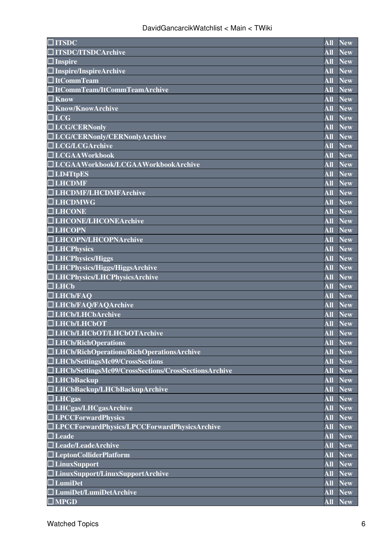| $\square$ ITSDC                                             | <b>All</b>              | <b>New</b>              |
|-------------------------------------------------------------|-------------------------|-------------------------|
| <b>TITSDC/ITSDCArchive</b>                                  | <b>All</b>              | <b>New</b>              |
| $\Box$ Inspire                                              | All                     | <b>New</b>              |
| Inspire/InspireArchive                                      | All                     | <b>New</b>              |
| $\Box$ ItCommTeam                                           | All                     | <b>New</b>              |
| $\Box$ ItCommTeam/ItCommTeamArchive                         | All                     | <b>New</b>              |
| $\square$ Know                                              | <b>All</b>              | <b>New</b>              |
| <b>Know/KnowArchive</b>                                     | All                     | <b>New</b>              |
| $\Box$ LCG                                                  | All                     | <b>New</b>              |
| <b>ILCG/CERNonly</b>                                        | All                     | <b>New</b>              |
| □LCG/CERNonly/CERNonlyArchive                               | All                     | <b>New</b>              |
| □LCG/LCGArchive                                             | <b>All</b>              | <b>New</b>              |
| $\Box$ LCGAAWorkbook                                        | All                     | <b>New</b>              |
| $\Box$ LCGAAWorkbook/LCGAAWorkbookArchive                   | All                     | <b>New</b>              |
| $\Box$ LD4TtpES                                             | All                     | <b>New</b>              |
| $\Box$ LHCDMF                                               | <b>All</b>              | <b>New</b>              |
| □LHCDMF/LHCDMFArchive                                       | <b>All</b>              | <b>New</b>              |
| $\Box$ LHCDMWG                                              | <b>All</b>              | <b>New</b>              |
| $\Box$ LHCONE                                               | <b>All</b>              | <b>New</b>              |
| □LHCONE/LHCONEArchive                                       | <b>All</b>              | <b>New</b>              |
| $\Box$ LHCOPN                                               | <b>All</b>              | <b>New</b>              |
| □LHCOPN/LHCOPNArchive                                       | <b>All</b>              | <b>New</b>              |
| $\Box$ LHCPhysics                                           | All                     | <b>New</b>              |
| $\Box$ LHCPhysics/Higgs                                     | <b>All</b>              | <b>New</b>              |
| $\Box$ LHCPhysics/Higgs/HiggsArchive                        | <b>All</b>              | <b>New</b>              |
| □LHCPhysics/LHCPhysicsArchive                               | <b>All</b>              | <b>New</b>              |
| $\Box$ LHCb                                                 | All                     | <b>New</b>              |
| $\Box$ LHCb/FAQ                                             | All                     | <b>New</b>              |
| <b>LHCb/FAQ/FAQArchive</b>                                  | <b>All</b>              | <b>New</b>              |
| <b>LHCb/LHCbArchive</b>                                     | <b>All</b>              | <b>New</b>              |
| $\Box$ LHCb/LHCbOT                                          | <b>All</b>              | <b>New</b>              |
| □LHCb/LHCbOT/LHCbOTArchive                                  |                         | <b>All New</b>          |
| $\Box$ LHCb/RichOperations                                  | <b>All</b>              | <b>New</b>              |
| $\Box$ LHCb/RichOperations/RichOperationsArchive            | <b>All</b>              | <b>New</b>              |
| □LHCb/SettingsMc09/CrossSections                            | <b>All</b>              | <b>New</b>              |
| $\Box$ LHCb/SettingsMc09/CrossSections/CrossSectionsArchive | All                     | <b>New</b>              |
| $\Box$ LHCbBackup                                           | $\overline{\text{All}}$ | $\overline{\text{New}}$ |
| $\Box$ LHCbBackup/LHCbBackupArchive                         | <b>All</b>              | <b>New</b>              |
| $\Box$ LHCgas                                               | <b>All</b>              | <b>New</b>              |
| $\Box$ LHCgas/LHCgasArchive                                 | <b>All</b>              | <b>New</b>              |
| $\Box$ LPCCForwardPhysics                                   | <b>All</b>              | <b>New</b>              |
| $\Box$ LPCCForwardPhysics/LPCCForwardPhysicsArchive         | <b>All</b>              | <b>New</b>              |
| $\square$ Leade                                             | <b>All</b>              | <b>New</b>              |
| $\Box$ Leade/LeadeArchive                                   | <b>All</b>              | <b>New</b>              |
| $\Box$ LeptonColliderPlatform                               | $\overline{\text{All}}$ | <b>New</b>              |
| $\Box$ LinuxSupport                                         | <b>All</b>              | <b>New</b>              |
| $\Box$ LinuxSupport/LinuxSupportArchive                     | <b>All</b>              | <b>New</b>              |
| $\Box$ LumiDet                                              | <b>All</b>              | <b>New</b>              |
| LumiDet/LumiDetArchive                                      | <b>All</b>              | <b>New</b>              |
| $\beth$ MPGD                                                | <b>All</b>              | <b>New</b>              |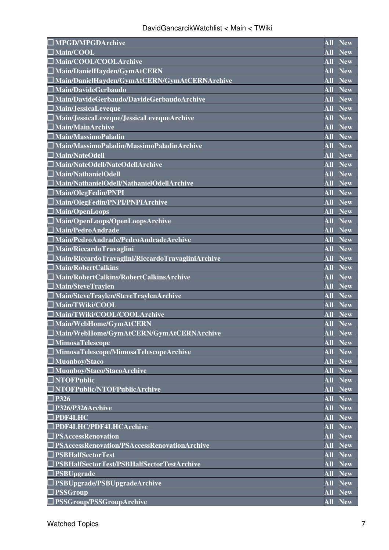| $\square$ MPGD/MPGDArchive                               | <b>All</b>       | <b>New</b>              |
|----------------------------------------------------------|------------------|-------------------------|
| $\square$ Main/COOL                                      | <b>All</b>       | <b>New</b>              |
| $\square$ Main/COOL/COOLArchive                          | <b>All</b>       | <b>New</b>              |
| $\Box$ Main/DanielHayden/GymAtCERN                       | $\overline{All}$ | <b>New</b>              |
| $\square$ Main/DanielHayden/GymAtCERN/GymAtCERNArchive   | <b>All</b>       | <b>New</b>              |
| $\Box$ Main/DavideGerbaudo                               | <b>All</b>       | <b>New</b>              |
| $\Box$ Main/DavideGerbaudo/DavideGerbaudoArchive         | <b>All</b>       | <b>New</b>              |
| Main/JessicaLeveque                                      | All              | <b>New</b>              |
| Main/JessicaLeveque/JessicaLevequeArchive                | All              | <b>New</b>              |
| $\square$ Main/MainArchive                               | <b>All</b>       | <b>New</b>              |
| $\Box$ Main/MassimoPaladin                               | <b>All</b>       | <b>New</b>              |
| $\Box$ Main/MassimoPaladin/MassimoPaladinArchive         | <b>All</b>       | <b>New</b>              |
| $\square$ Main/NateOdell                                 | All              | <b>New</b>              |
| $\Box$ Main/NateOdell/NateOdellArchive                   | <b>All</b>       | <b>New</b>              |
| $\square$ Main/NathanielOdell                            | <b>All</b>       | <b>New</b>              |
| $\Box$ Main/NathanielOdell/NathanielOdellArchive         | <b>All</b>       | <b>New</b>              |
| $\Box$ Main/OlegFedin/PNPI                               | All              | <b>New</b>              |
| $\square$ Main/OlegFedin/PNPI/PNPIArchive                | All              | <b>New</b>              |
| $\Box$ Main/OpenLoops                                    | All              | <b>New</b>              |
| Main/OpenLoops/OpenLoopsArchive                          | <b>All</b>       | <b>New</b>              |
| Main/PedroAndrade                                        | All              | <b>New</b>              |
| □ Main/PedroAndrade/PedroAndradeArchive                  | <b>All</b>       | $\overline{\text{New}}$ |
| $\square$ Main/RiccardoTravaglini                        | <b>All</b>       | <b>New</b>              |
| $\Box$ Main/RiccardoTravaglini/RiccardoTravagliniArchive | All              | <b>New</b>              |
| $\square$ Main/RobertCalkins                             | <b>All</b>       | <b>New</b>              |
| □ Main/RobertCalkins/RobertCalkinsArchive                | All              | <b>New</b>              |
| $\square$ Main/SteveTraylen                              | $\overline{All}$ | <b>New</b>              |
| $\Box$ Main/SteveTraylen/SteveTraylenArchive             | <b>All</b>       | <b>New</b>              |
| $\Box$ Main/TWiki/COOL                                   | All              | <b>New</b>              |
| $\square$ Main/TWiki/COOL/COOLArchive                    | <b>All</b>       | <b>New</b>              |
| $\square$ Main/WebHome/GymAtCERN                         | <b>All</b>       | <b>New</b>              |
| Main/WebHome/GymAtCERN/GymAtCERNArchive                  |                  | All New                 |
| $\square$ MimosaTelescope                                | <b>All</b>       | <b>New</b>              |
| $\Box$ MimosaTelescope/MimosaTelescopeArchive            | <b>All</b>       | <b>New</b>              |
| $\square$ Muonboy/Staco                                  | <b>All</b>       | <b>New</b>              |
| $\square$ Muonboy/Staco/StacoArchive                     | All              | <b>New</b>              |
| $\Box$ NTOFPublic                                        | <b>All</b>       | <b>New</b>              |
| $\Box$ NTOFPublic/NTOFPublicArchive                      | All              | <b>New</b>              |
| $\Box$ P326                                              | <b>All</b>       | <b>New</b>              |
| $\Box$ P326/P326Archive                                  | <b>All</b>       | $\overline{\text{New}}$ |
| $\Box$ PDF4LHC                                           | All              | <b>New</b>              |
| <b>PDF4LHC/PDF4LHCArchive</b>                            | All              | <b>New</b>              |
| $\Box$ PSAccessRenovation                                | All              | <b>New</b>              |
| PSAccessRenovation/PSAccessRenovationArchive             | <b>All</b>       | <b>New</b>              |
| <b>PSBHalfSectorTest</b>                                 | <b>All</b>       | $\overline{\text{New}}$ |
| $\Box$ PSBHalfSectorTest/PSBHalfSectorTestArchive        | All              | <b>New</b>              |
| $\Box$ PSBUpgrade                                        | All              | <b>New</b>              |
| $\Box$ PSBUpgrade/PSBUpgradeArchive                      | <b>All</b>       | <b>New</b>              |
| $\Box$ PSSGroup                                          | <b>All</b>       | <b>New</b>              |
| $\Box$ PSSGroup/PSSGroupArchive                          | All              | <b>New</b>              |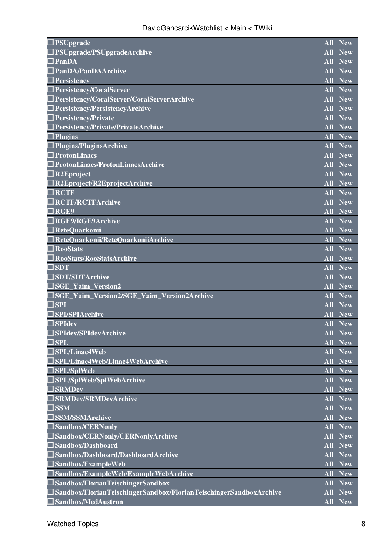| <b>PSUpgrade</b>                                                             | All              | <b>New</b>     |
|------------------------------------------------------------------------------|------------------|----------------|
| $\Box$ PSUpgrade/PSUpgradeArchive                                            | All              | <b>New</b>     |
| PanDA                                                                        | All              | <b>New</b>     |
| $\Box$ PanDA/PanDAArchive                                                    | All              | <b>New</b>     |
| $\Box$ Persistency                                                           | All              | <b>New</b>     |
| $\Box$ Persistency/CoralServer                                               | <b>All</b>       | <b>New</b>     |
| $\Box$ Persistency/CoralServer/CoralServerArchive                            | All              | <b>New</b>     |
| $\Box$ Persistency/PersistencyArchive                                        | All              | <b>New</b>     |
| $\Box$ Persistency/Private                                                   | <b>All</b>       | <b>New</b>     |
| Persistency/Private/PrivateArchive                                           | All              | <b>New</b>     |
| $\Box$ Plugins                                                               | <b>All</b>       | <b>New</b>     |
| $\Box$ Plugins/PluginsArchive                                                | All              | <b>New</b>     |
| $\Box$ ProtonLinacs                                                          | <b>All</b>       | <b>New</b>     |
| $\Box$ ProtonLinacs/ProtonLinacsArchive                                      | <b>All</b>       | <b>New</b>     |
| $\square$ R2Eproject                                                         | All              | <b>New</b>     |
| $\Box$ R2Eproject/R2EprojectArchive                                          | <b>All</b>       | <b>New</b>     |
| $\Box$ RCTF                                                                  | <b>All</b>       | <b>New</b>     |
| $\Box$ RCTF/RCTFArchive                                                      | <b>All</b>       | <b>New</b>     |
| $\Box$ RGE9                                                                  | <b>All</b>       | <b>New</b>     |
| $\Box$ RGE9/RGE9Archive                                                      | <b>All</b>       | <b>New</b>     |
| $\Box$ ReteQuarkonii                                                         | <b>All</b>       | <b>New</b>     |
| $\Box$ ReteQuarkonii/ReteQuarkoniiArchive                                    | <b>All</b>       | <b>New</b>     |
| $\square$ RooStats                                                           | All              | <b>New</b>     |
| RooStats/RooStatsArchive                                                     | <b>All</b>       | <b>New</b>     |
| $\Box$ SDT                                                                   | <b>All</b>       | <b>New</b>     |
| <b>SDT/SDTArchive</b>                                                        | <b>All</b>       | <b>New</b>     |
| $\Box$ SGE Yaim Version2                                                     | <b>All</b>       | <b>New</b>     |
| $\Box$ SGE_Yaim_Version2/SGE_Yaim_Version2Archive                            | $\overline{All}$ | <b>New</b>     |
| $\Box$ SPI                                                                   | <b>All</b>       | <b>New</b>     |
| $\Box$ SPI/SPIArchive                                                        | <b>All</b>       | <b>New</b>     |
| $\Box$ SPIdev                                                                | <b>All</b>       | <b>New</b>     |
| □ SPIdev/SPIdevArchive                                                       |                  | <b>All New</b> |
| $\Box$ SPL                                                                   | All              | <b>New</b>     |
| $\Box$ SPL/Linac4Web                                                         | <b>All</b>       | <b>New</b>     |
| $\Box$ SPL/Linac4Web/Linac4WebArchive                                        | <b>All</b>       | <b>New</b>     |
| $\Box$ SPL/SplWeb                                                            | All              | <b>New</b>     |
| $\Box$ SPL/SplWeb/SplWebArchive                                              | <b>All</b>       | <b>New</b>     |
| $\Box$ SRMDev                                                                | All              | <b>New</b>     |
| <b>SRMDev/SRMDevArchive</b>                                                  | <b>All</b>       | <b>New</b>     |
| $\square$ SSM                                                                | <b>All</b>       | <b>New</b>     |
| $\square$ SSM/SSMArchive                                                     | <b>All</b>       | <b>New</b>     |
| $\Box$ Sandbox/CERNonly                                                      | <b>All</b>       | <b>New</b>     |
| $\Box$ Sandbox/CERNonly/CERNonlyArchive                                      | <b>All</b>       | <b>New</b>     |
| $\Box$ Sandbox/Dashboard                                                     | <b>All</b>       | <b>New</b>     |
| $\Box$ Sandbox/Dashboard/DashboardArchive                                    | All              | <b>New</b>     |
| $\Box$ Sandbox/ExampleWeb                                                    | <b>All</b>       | <b>New</b>     |
| $\Box$ Sandbox/ExampleWeb/ExampleWebArchive                                  | <b>All</b>       | <b>New</b>     |
| $\Box$ Sandbox/FlorianTeischingerSandbox                                     | <b>All</b>       | <b>New</b>     |
| $\exists$ Sandbox/FlorianTeischingerSandbox/FlorianTeischingerSandboxArchive | <b>All</b>       | <b>New</b>     |
| Sandbox/MedAustron                                                           | All              | <b>New</b>     |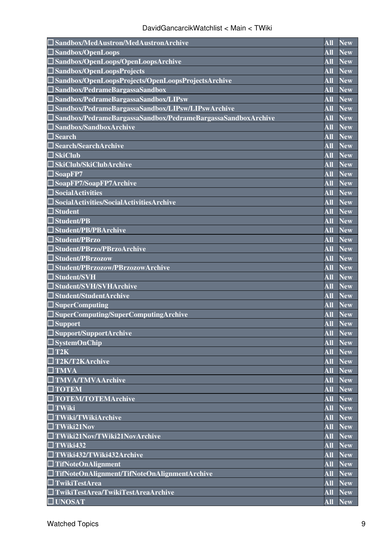| Sandbox/MedAustron/MedAustronArchive                         | <b>All</b>              | <b>New</b> |
|--------------------------------------------------------------|-------------------------|------------|
| <b>Sandbox/OpenLoops</b>                                     | <b>All</b>              | <b>New</b> |
| Sandbox/OpenLoops/OpenLoopsArchive                           | <b>All</b>              | <b>New</b> |
| Sandbox/OpenLoopsProjects                                    | <b>All</b>              | <b>New</b> |
| Sandbox/OpenLoopsProjects/OpenLoopsProjectsArchive           | <b>All</b>              | <b>New</b> |
| Sandbox/PedrameBargassaSandbox                               | <b>All</b>              | <b>New</b> |
| Sandbox/PedrameBargassaSandbox/LIPsw                         | $\overline{\bf All}$    | <b>New</b> |
| Sandbox/PedrameBargassaSandbox/LIPsw/LIPswArchive            | <b>All</b>              | <b>New</b> |
| Sandbox/PedrameBargassaSandbox/PedrameBargassaSandboxArchive | <b>All</b>              | <b>New</b> |
| Sandbox/SandboxArchive                                       | <b>All</b>              | <b>New</b> |
| <b>Search</b>                                                | <b>All</b>              | <b>New</b> |
| Search/SearchArchive                                         | <b>All</b>              | <b>New</b> |
| $\Box$ SkiClub                                               | <b>All</b>              | <b>New</b> |
| <b>SkiClub/SkiClubArchive</b>                                | <b>All</b>              | <b>New</b> |
| SoapFP7                                                      | <b>All</b>              | <b>New</b> |
| SoapFP7/SoapFP7Archive                                       | <b>All</b>              | <b>New</b> |
| <b>SocialActivities</b>                                      | <b>All</b>              | <b>New</b> |
| SocialActivities/SocialActivitiesArchive                     | <b>All</b>              | <b>New</b> |
| $\operatorname{\mathsf{I}}$ Student                          | <b>All</b>              | <b>New</b> |
| <b>Student/PB</b>                                            | <b>All</b>              | <b>New</b> |
| <b>Student/PB/PBArchive</b>                                  | <b>All</b>              | <b>New</b> |
| <b>Student/PBrzo</b>                                         | All                     | <b>New</b> |
| Student/PBrzo/PBrzoArchive                                   | <b>All</b>              | <b>New</b> |
| <b>Student/PBrzozow</b>                                      | <b>All</b>              | <b>New</b> |
| Student/PBrzozow/PBrzozowArchive                             | <b>All</b>              | <b>New</b> |
| <b>Student/SVH</b>                                           | <b>All</b>              | <b>New</b> |
| Student/SVH/SVHArchive                                       | <b>All</b>              | <b>New</b> |
| $\Box$ Student/StudentArchive                                | <b>All</b>              | <b>New</b> |
| $\Box$ SuperComputing                                        | <b>All</b>              | <b>New</b> |
| SuperComputing/SuperComputingArchive                         | <b>All</b>              | <b>New</b> |
| Support                                                      | <b>All</b>              | <b>New</b> |
| $\Box$ Support/SupportArchive                                |                         | All New    |
| $\square$ SystemOnChip                                       | <b>All</b>              | <b>New</b> |
| $\square$ T2K                                                | All                     | <b>New</b> |
| $\Box$ T2K/T2KArchive                                        | $\overline{\text{All}}$ | <b>New</b> |
| $\square$ TMVA                                               | <b>All</b>              | <b>New</b> |
| <b>TMVA/TMVAArchive</b>                                      | <b>All</b>              | <b>New</b> |
| $\Box$ TOTEM                                                 | <b>All</b>              | <b>New</b> |
| <b>TOTEM/TOTEMArchive</b>                                    | <b>All</b>              | <b>New</b> |
| $\Box$ TWiki                                                 | <b>All</b>              | <b>New</b> |
| $\square$ TWiki/TWikiArchive                                 | <b>All</b>              | <b>New</b> |
| $\Box$ TWiki21Nov                                            | <b>All</b>              | <b>New</b> |
| $\Box$ TWiki21Nov/TWiki21NovArchive                          | <b>All</b>              | <b>New</b> |
| $\Box$ TWiki432                                              | <b>All</b>              | <b>New</b> |
| $\Box$ TWiki432/TWiki432Archive                              | <b>All</b>              | <b>New</b> |
| $\Box$ TifNoteOnAlignment                                    | <b>All</b>              | <b>New</b> |
| TifNoteOnAlignment/TifNoteOnAlignmentArchive                 | <b>All</b>              | <b>New</b> |
| $\Box$ TwikiTestArea                                         | <b>All</b>              | <b>New</b> |
| $\Box$ TwikiTestArea/TwikiTestAreaArchive                    | <b>All</b>              | <b>New</b> |
| $\square$ UNOSAT                                             | <b>All</b>              | <b>New</b> |
|                                                              |                         |            |